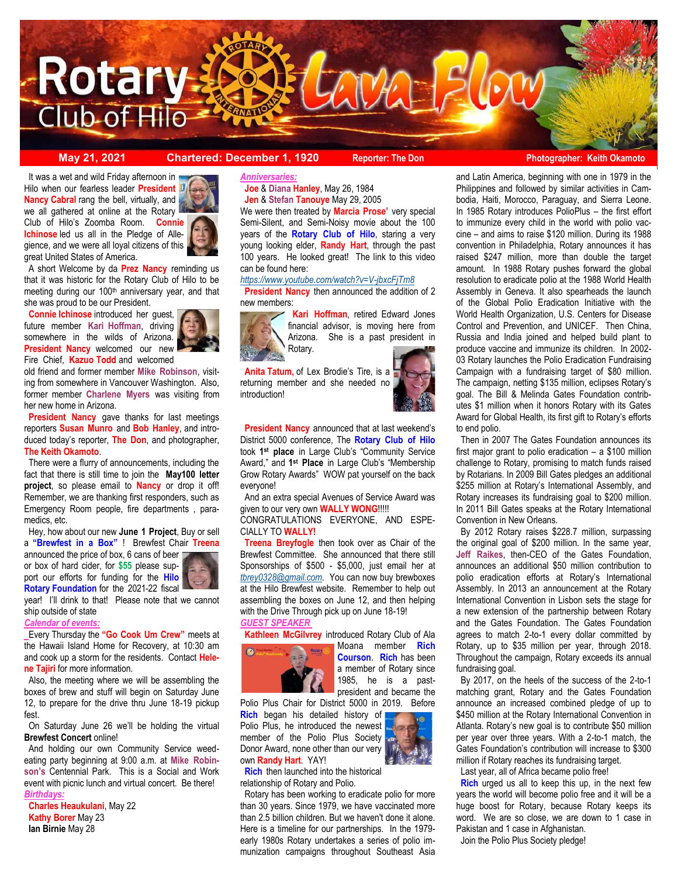

#### **May 21, 2021 Chartered: December 1, 1920** Reporter: The Don<br> **Reporter: The Don Photographer: Keith Okamoto**

 Hilo when our fearless leader **President Nancy Cabral** rang the bell, virtually, and It was a wet and wild Friday afternoon in we all gathered at online at the Rotary Club of Hilo's Zoomba Room. **Connie Ichinose** led us all in the Pledge of Allegience, and we were all loyal citizens of this great United States of America.

 A short Welcome by da **Prez Nancy** reminding us that it was historic for the Rotary Club of Hilo to be meeting during our 100<sup>th</sup> anniversary year, and that she was proud to be our President.

 **Connie Ichinose** introduced her guest, future member **Kari Hoffman**, driving somewhere in the wilds of Arizona. **President Nancy** welcomed our new Fire Chief, **Kazuo Todd** and welcomed

old friend and former member **Mike Robinson**, visiting from somewhere in Vancouver Washington. Also, former member **Charlene Myers** was visiting from her new home in Arizona.

 **President Nancy** gave thanks for last meetings reporters **Susan Munro** and **Bob Hanley**, and introduced today's reporter, **The Don**, and photographer, **The Keith Okamoto**.

 There were a flurry of announcements, including the fact that there is still time to join the **May100 letter project**, so please email to **Nancy** or drop it off! Remember, we are thanking first responders, such as Emergency Room people, fire departments , paramedics, etc.

 Hey, how about our new **June 1 Project**, Buy or sell a **"Brewfest in a Box"** ! Brewfest Chair **Treena**

announced the price of box, 6 cans of beer or box of hard cider, for **\$55** please support our efforts for funding for the **Hilo Rotary Foundation** for the 2021-22 fiscal



year! I'll drink to that! Please note that we cannot ship outside of state

*Calendar of events:* 

Every Thursday the **"Go Cook Um Crew"** meets at the Hawaii Island Home for Recovery, at 10:30 am and cook up a storm for the residents. Contact **Helene Tajiri** for more information.

 Also, the meeting where we will be assembling the boxes of brew and stuff will begin on Saturday June 12, to prepare for the drive thru June 18-19 pickup fest.

 On Saturday June 26 we'll be holding the virtual **Brewfest Concert** online!

 And holding our own Community Service weedeating party beginning at 9:00 a.m. at **Mike Robinson's** Centennial Park. This is a Social and Work event with picnic lunch and virtual concert. Be there! *Birthdays:* 

 **Charles Heaukulani**, May 22 **Kathy Borer** May 23 **Ian Birnie** May 28

#### *Anniversaries:*

 **Joe** & **Diana Hanley**, May 26, 1984  **Jen** & **Stefan Tanouye** May 29, 2005

We were then treated by **Marcia Prose'** very special Semi-Silent, and Semi-Noisy movie about the 100 years of the **Rotary Club of Hilo**, staring a very young looking elder, **Randy Hart**, through the past 100 years. He looked great! The link to this video can be found here:

*<https://www.youtube.com/watch?v=V-jbxcFjTm8>*

**President Nancy** then announced the addition of 2 new members:



 **Kari Hoffman**, retired Edward Jones financial advisor, is moving here from Arizona. She is a past president in Rotary.

 **Anita Tatum,** of Lex Brodie's Tire, is a returning member and she needed no introduction!



 **President Nancy** announced that at last weekend's District 5000 conference, The **Rotary Club of Hilo**  took **1 st place** in Large Club's "Community Service Award," and **1 st Place** in Large Club's "Membership Grow Rotary Awards" WOW pat yourself on the back everyone!

 And an extra special Avenues of Service Award was given to our very own **WALLY WONG**!!!!!

CONGRATULATIONS EVERYONE, AND ESPE-CIALLY TO **WALLY!** 

 **Treena Breyfogle** then took over as Chair of the Brewfest Committee. She announced that there still Sponsorships of \$500 - \$5,000, just email her at *[tbrey0328@gmail.com](mailto:tbrey0328@gmail.com)*. You can now buy brewboxes at the Hilo Brewfest website. Remember to help out assembling the boxes on June 12, and then helping with the Drive Through pick up on June 18-19! *GUEST SPEAKER*

**Kathleen McGilvrey** introduced Rotary Club of Ala



Moana member **Rich Courson**. **Rich** has been a member of Rotary since 1985, he is a pastpresident and became the

Polio Plus Chair for District 5000 in 2019. Before **Rich** began his detailed history of Polio Plus, he introduced the newest member of the Polio Plus Society Donor Award, none other than our very own **Randy Hart**. YAY!

 **Rich** then launched into the historical relationship of Rotary and Polio.

 Rotary has been working to eradicate polio for more than 30 years. Since 1979, we have vaccinated more than 2.5 billion children. But we haven't done it alone. Here is a timeline for our partnerships. In the 1979 early 1980s Rotary undertakes a series of polio immunization campaigns throughout Southeast Asia

and Latin America, beginning with one in 1979 in the Philippines and followed by similar activities in Cambodia, Haiti, Morocco, Paraguay, and Sierra Leone. In 1985 Rotary introduces PolioPlus – the first effort to immunize every child in the world with polio vaccine – and aims to raise \$120 million. During its 1988 convention in Philadelphia, Rotary announces it has raised \$247 million, more than double the target amount. In 1988 Rotary pushes forward the global resolution to eradicate polio at the 1988 World Health Assembly in Geneva. It also spearheads the launch of the Global Polio Eradication Initiative with the World Health Organization, U.S. Centers for Disease Control and Prevention, and UNICEF. Then China, Russia and India joined and helped build plant to produce vaccine and immunize its children. In 2002- 03 Rotary launches the Polio Eradication Fundraising Campaign with a fundraising target of \$80 million. The campaign, netting \$135 million, eclipses Rotary's goal. The Bill & Melinda Gates Foundation contributes \$1 million when it honors Rotary with its Gates Award for Global Health, its first gift to Rotary's efforts to end polio.

 Then in 2007 The Gates Foundation announces its first major grant to polio eradication – a \$100 million challenge to Rotary, promising to match funds raised by Rotarians. In 2009 Bill Gates pledges an additional \$255 million at Rotary's International Assembly, and Rotary increases its fundraising goal to \$200 million. In 2011 Bill Gates speaks at the Rotary International Convention in New Orleans.

 By 2012 Rotary raises \$228.7 million, surpassing the original goal of \$200 million. In the same year, **Jeff Raikes**, then-CEO of the Gates Foundation, announces an additional \$50 million contribution to polio eradication efforts at Rotary's International Assembly. In 2013 an announcement at the Rotary International Convention in Lisbon sets the stage for a new extension of the partnership between Rotary and the Gates Foundation. The Gates Foundation agrees to match 2-to-1 every dollar committed by Rotary, up to \$35 million per year, through 2018. Throughout the campaign, Rotary exceeds its annual fundraising goal.

 By 2017, on the heels of the success of the 2-to-1 matching grant, Rotary and the Gates Foundation announce an increased combined pledge of up to \$450 million at the Rotary International Convention in Atlanta. Rotary's new goal is to contribute \$50 million per year over three years. With a 2-to-1 match, the Gates Foundation's contribution will increase to \$300 million if Rotary reaches its fundraising target.

Last year, all of Africa became polio free!

 **Rich** urged us all to keep this up, in the next few years the world will become polio free and it will be a huge boost for Rotary, because Rotary keeps its word. We are so close, we are down to 1 case in Pakistan and 1 case in Afghanistan.

Join the Polio Plus Society pledge!